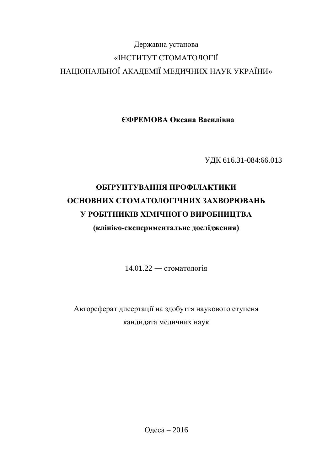## Державна установа «ІНСТИТУТ СТОМАТОЛОГІЇ НАЦІОНАЛЬНОЇ АКАДЕМІЇ МЕДИЧНИХ НАУК УКРАЇНИ»

**ȯɎɊȿɆɈȼȺɈɤɫɚɧɚȼɚɫɢɥɿɜɧɚ**

ɍȾɄ 616.31-084:66.013

# ОБҐРУНТУВАННЯ ПРОФІЛАКТИКИ **ОСНОВНИХ СТОМАТОЛОГІЧНИХ ЗАХВОРЮВАНЬ У РОБІТНИКІВ ХІМІЧНОГО ВИРОБНИЦТВА**

(клініко-експериментальне дослідження)

 $14.01.22 -$  стоматологія

Автореферат дисертації на здобуття наукового ступеня кандидата медичних наук

Одеса – 2016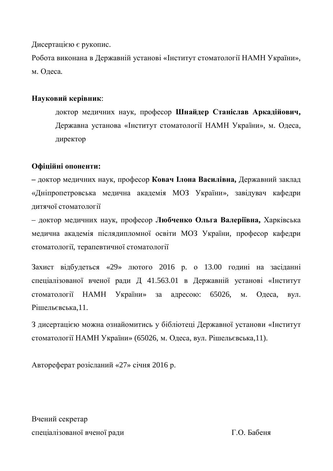Дисертацією є рукопис.

Робота виконана в Державній установі «Інститут стоматології НАМН України», м. Олеса.

## Науковий керівник:

доктор медичних наук, професор Шнайдер Станіслав Аркадійович, Державна установа «Інститут стоматології НАМН України», м. Одеса, директор

## Офіційні опоненти:

– доктор медичних наук, професор Ковач Ілона Василівна, Державний заклад «Дніпропетровська медична академія МОЗ України», завідувач кафедри литячої стоматології

– доктор медичних наук, професор Любченко Ольга Валеріївна, Харківська медична академія післядипломної освіти МОЗ України, професор кафедри стоматології, терапевтичної стоматології

Захист відбудеться «29» лютого 2016 р. о 13.00 годині на засіданні спеціалізованої вченої ради Д 41.563.01 в Державній установі «Інститут стоматології НАМН України» за адресою: 65026, м. Одеса, вул. Рішельєвська.11.

З дисертацією можна ознайомитись у бібліотеці Державної установи «Інститут стоматології НАМН України» (65026, м. Одеса, вул. Рішельєвська,11).

Автореферат розісланий «27» січня 2016 р.

Вчений секретар спеціалізованої вченої ради П.О. Бабеня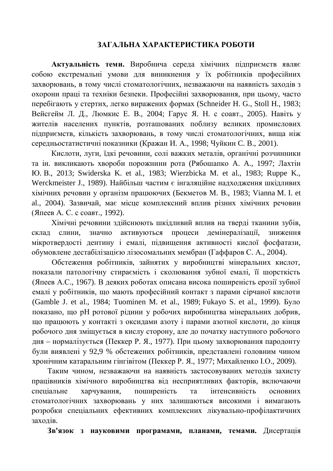## ЗАГАЛЬНА ХАРАКТЕРИСТИКА РОБОТИ

**Актуальність теми.** Виробнича середа хімічних підприємств являє собою екстремальні умови для виникнення у їх робітників професійних захворювань, в тому числі стоматологічних, незважаючи на наявність заходів з охорони праці та техніки безпеки. Професійні захворювання, при цьому, часто перебігають у стертих, легко виражених формах (Schneider H. G., Stoll H., 1983; Вейсгейм Л. Д., Люмкис Е. В., 2004; Гарус Я. Н. с соавт., 2005). Навіть у жителів населених пунктів, розташованих поблизу великих промислових підприємств, кількість захворювань, в тому числі стоматологічних, вища ніж середньостатистичні показники (Кражан И. А., 1998; Чуйкин С. В., 2001).

Кислоти, луги, їдкі речовини, солі важких металів, органічні розчинники та ін. викликають хвороби порожнини рота (Рябошапко А. А., 1997; Лахтін ɘ. ȼ., 2013; Swiderska K. et al., 1983; Wierzbicka M. et al., 1983; Ruppe K., Werckmeister J., 1989). Найбільш частим є інгаляційне надходження шкідливих xімічних речовин у організм працюючих (Бекметов М. В., 1983; Vianna M. I. et al., 2004). Зазвичай, має місце комплексний вплив різних хімічних речовин (Япеев А. С. с соавт., 1992).

Хімічні речовини здійснюють шкідливий вплив на тверді тканини зубів, склад слини, значно активуються процеси демінералізації, зниження мікротвердості дентину і емалі, підвищення активності кислої фосфатази, обумовлене дестабілізацією лізосомальних мембран (Гаффаров С. А., 2004).

Обстеження робітників, зайнятих у виробництві мінеральних кислот, показали патологічну стираємість і сколювання зубної емалі, її шорсткість (Япеев А.С., 1967). В деяких роботах описана висока поширеність ерозії зубної емалі у робітників, що мають професійний контакт з парами сірчаної кислоти (Gamble J. et al., 1984; Tuominen M. et al., 1989; Fukayo S. et al., 1999). Було показано, що рН ротової рідини у робочих виробництва мінеральних добрив, що працюють у контакті з оксидами азоту і парами азотної кислоти, до кінця робочого дня зміщується в кислу сторону, але до початку наступного робочого дня – нормалізується (Пеккер Р. Я., 1977). При цьому захворювання пародонту були виявлені у 92,9 % обстежених робітників, представлені головним чином хронічним катаральним гінгівітом (Пеккер Р. Я., 1977; Михайленко І.О., 2009).

Таким чином, незважаючи на наявність застосовуваних методів захисту працівників хімічного виробництва від несприятливих факторів, включаючи спеціальне харчування, поширеність та інтенсивність основних стоматологічних захворювань у них залишаються високими і вимагають розробки спеціальних ефективних комплексних лікувально-профілактичних захолів.

Зв'язок з науковими програмами, планами, темами. Дисертація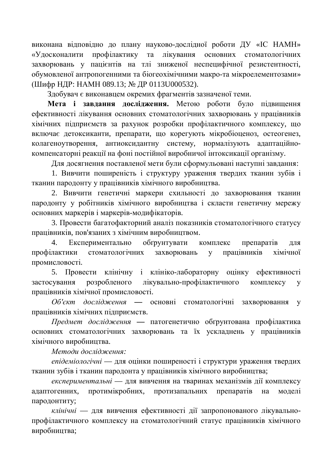виконана відповідно до плану науково-дослідної роботи ДУ «ІС НАМН» «Удосконалити профілактику та лікування основних стоматологічних захворювань у пацієнтів на тлі зниженої неспецифічної резистентності. обумовленої антропогенними та біогеохімічними макро-та мікроелементозами» (Шифр НДР: НАМН 089.13; № ДР 0113U000532).

Здобувач є виконавцем окремих фрагментів зазначеної теми.

Мета і завдання дослідження. Метою роботи було підвищення ефективності лікування основних стоматологічних захворювань у працівників хімічних підприємств за рахунок розробки профілактичного комплексу, що включає детоксиканти, препарати, що корегують мікробіоценоз, остеогенез, колагеноутворення, антиоксидантну систему, нормалізують адаптаційнокомпенсаторні реакції на фоні постійної виробничої інтоксикації організму.

Для досягнення поставленої мети були сформульовані наступні завдання:

1. Вивчити поширеність і структуру ураження твердих тканин зубів і тканин пародонту у працівників хімічного виробництва.

2. Вивчити генетичні маркери схильності до захворювання тканин пародонту у робітників хімічного виробництва і скласти генетичну мережу основних маркерів і маркерів-модифікаторів.

3. Провести багатофакторний аналіз показників стоматологічного статусу працівників, пов'язаних з хімічним виробництвом.

4. Експериментально обгрунтувати комплекс препаратів для профілактики стоматологічних захворювань у працівників хімічної промисловості.

5. Провести клінічну і клініко-лабораторну оцінку ефективності застосування розробленого лікувально-профілактичного комплексу у працівників хімічної промисловості.

Об'єкт дослідження — основні стоматологічні захворювання у працівників хімічних підприємств.

*Предмет дослідження* — патогенетично обґрунтована профілактика основних стоматологічних захворювань та їх ускладнень у працівників хімічного виробництва.

Методи дослідження:

*епідеміологічні* — для оцінки поширеності і структури ураження твердих тканин зубів і тканин пародонта у працівників хімічного виробництва;

експериментальні — для вивчення на тваринах механізмів дії комплексу адаптогенних, протимікробних, протизапальних препаратів на моделі пародонтиту;

клінічні — для вивчення ефективності дії запропонованого лікувальнопрофілактичного комплексу на стоматологічний статус працівників хімічного виробництва;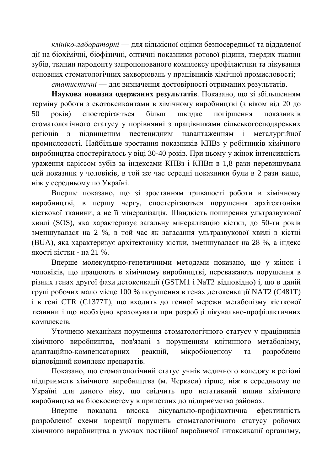*клініко-лабораторні* — для кількісної оцінки безпосередньої та віддаленої дії на біохімічні, біофізичні, оптичні показники ротової рідини, твердих тканин зубів, тканин пародонту запропонованого комплексу профілактики та лікування основних стоматологічних захворювань у працівників хімічної промисловості;

*статистичні* — для визначення достовірності отриманих результатів.

Наукова новизна одержаних результатів. Показано, що зі збільшенням терміну роботи з екотоксикантами в хімічному виробництві (з віком від 20 до 50 років) спостерігається більш швилке погіршення показників стоматологічного статусу у порівнянні з працівниками сільськогосподарських регіонів з підвищеним пестецидним навантаженням і металургійної промисловості. Найбільше зростання показників КПВз у робітників хімічного виробництва спостерігалось у віці 30-40 років. При цьому у жінок інтенсивність ураження карієсом зубів за індексами КПВз і КПВп в 1,8 рази перевищувала цей показник у чоловіків, в той же час середні показники були в 2 рази вище, ніж у середньому по Україні.

Вперше показано, що зі зростанням тривалості роботи в хімічному виробництві, в першу чергу, спостерігаються порушення архітектоніки кісткової тканини, а не її мінералізація. Швидкість поширення ультразвукової хвилі (SOS), яка характеризує загальну мінералізацію кістки, до 50-ти років зменшувалася на 2 %, в той час як загасання ультразвукової хвилі в кістці (BUA), яка характеризує архітектоніку кістки, зменшувалася на 28 %, а індекс якості кістки - на 21 %.

Вперше молекулярно-генетичними методами показано, що у жінок і чоловіків, що працюють в хімічному виробництві, переважають порушення в різних генах другої фази детоксикації (GSTM1 і NaT2 відповідно) і, що в даній групі робочих мало місце 100 % порушення в генах детоксикації NAT2 (C481T) і в гені CTR (C1377T), що входить до генної мережи метаболізму кісткової тканини і що необхідно враховувати при розробці лікувально-профілактичних **κ** ο ΜΠΠΕΚΟΙΒ.

Уточнено механізми порушення стоматологічного статусу у працівників хімічного виробництва, пов'язані з порушенням клітинного метаболізму, адаптаційно-компенсаторних реакцій, мікробіоценозу та розроблено відповідний комплекс препаратів.

Показано, що стоматологічний статус учнів медичного коледжу в регіоні підприємств хімічного виробництва (м. Черкаси) гірше, ніж в середньому по Україні для даного віку, що свідчить про негативний вплив хімічного виробництва на біоекосистему в прилеглих до підприємства районах.

Вперше показана висока лікувально-профілактична ефективність розробленої схеми корекції порушень стоматологічного статусу робочих хімічного виробництва в умовах постійної виробничої інтоксикації організму,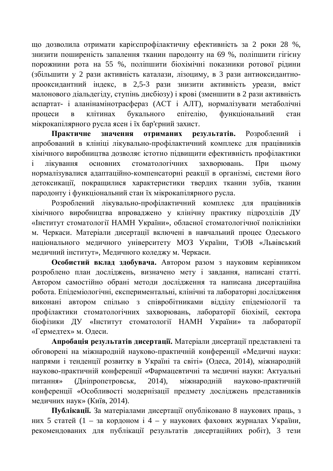що дозволила отримати карієспрофілактичну ефективність за 2 роки 28 %, знизити поширеність запалення тканин пародонту на 69 %, поліпшити гігієну порожнини рота на 55 %, поліпшити біохімічні показники ротової рілини (збільшити у 2 рази активність каталази, лізоциму, в 3 рази антиоксидантнопрооксидантний індекс, в 2,5-3 рази знизити активність уреази, вміст малонового діальдегіду, ступінь дисбіозу) і крові (зменшити в 2 рази активність аспартат- і аланінамінотрасфераз (АСТ і АЛТ), нормалізувати метаболічні процеси в клітинах букального епітелію, функціональний стан мікрокапілярного русла ясен і їх бар'єрний захист.

Практичне значення отриманих результатів. Розроблений і апробований в клініці лікувально-профілактичний комплекс для працівників хімічного виробництва дозволяє істотно підвищити ефективність профілактики і лікування основних стоматологічних захворювань. При цьому нормалізувалися адаптаційно-компенсаторні реакції в організмі, системи його детоксикації, покращилися характеристики твердих тканин зубів, тканин пародонту і функціональний стан їх мікрокапілярного русла.

Розроблений лікувально-профілактичний комплекс для працівників хімічного виробництва впроваджено у клінічну практику підрозділів ДУ «Інститут стоматології НАМН України», обласної стоматологічної поліклініки м. Черкаси. Матеріали дисертації включені в навчальний процес Одеського національного медичного університету МОЗ України, ТзОВ «Львівський медичний інститут», Медичного коледжу м. Черкаси.

Особистий вклад здобувача. Автором разом з науковим керівником розроблено план досліджень, визначено мету і завдання, написані статті. Автором самостійно обрані методи дослідження та написана дисертаційна робота. Епідеміологічні, експериментальні, клінічні та лабораторні дослідження виконані автором спільно з співробітниками відділу епідеміології та профілактики стоматологічних захворювань, лабораторії біохімії, сектора біофізики ДУ «Інститут стоматології НАМН України» та лабораторії «Гермедтех» м. Одеси.

Апробація результатів дисертації. Матеріали дисертації представлені та обговорені на міжнародній науково-практичній конференції «Медичні науки: напрями і тенденції розвитку в Україні та світі» (Одеса, 2014), міжнародній науково-практичній конференції «Фармацевтичні та медичні науки: Актуальні питання» (Дніпропетровськ, 2014), міжнародній науково-практичній конференції «Особливості модернізації предмету досліджень представників медичних наук» (Київ, 2014).

Публікації. За матеріалами дисертації опубліковано 8 наукових праць, з них 5 статей (1 – за кордоном і 4 – у наукових фахових журналах України, рекомендованих для публікації результатів дисертаційних робіт), 3 тези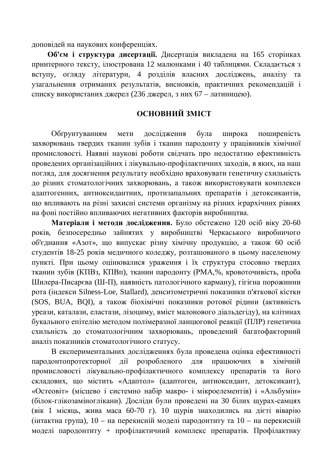доповідей на наукових конференціях.

Об'єм і структура дисертації. Дисертація викладена на 165 сторінках принтерного тексту, ілюстрована 12 малюнками і 40 таблицями. Складається з вступу, огляду літератури, 4 розділів власних досліджень, аналізу та узагальнення отриманих результатів, висновків, практичних рекомендацій і списку використаних джерел (236 джерел, з них 67 – латиницею).

## **ОСНОВНИЙ ЗМІСТ**

Обґрунтуванням мети лослілження була широка поширеність захворювань твердих тканин зубів і тканин пародонту у працівників хімічної промисловості. Наявні наукові роботи свідчать про недостатню ефективність проведених організаційних і лікувально-профілактичних заходів, в яких, на наш погляд, для досягнення результату необхідно враховувати генетичну схильність до різних стоматологічних захворювань, а також використовувати комплекси адаптогенних, антиоксидантних, протизапальних препаратів і детоксикантів, що впливають на різні захисні системи організму на різних ієрархічних рівнях на фоні постійно впливаючих негативних факторів виробництва.

Матеріали і методи дослідження. Було обстежено 120 осіб віку 20-60 років, безпосередньо зайнятих у виробництві Черкаського виробничого об'єднання «Азот», що випускає різну хімічну продукцію, а також 60 осіб студентів 18-25 років медичного коледжу, розташованого в цьому населеному пункті. При цьому оцінювалися ураження і їх структура стосовно твердих тканин зубів (КПВз, КПВп), тканин пародонту (РМА,%, кровоточивість, проба Шилера-Писарєва (Ш-П), наявність патологічного карману), гігієна порожнини рота (індекси Silness-Loe, Stallard), денситометричні показники п'яткової кістки (SOS, BUA, BQI), а також біохімічні показники ротової рідини (активність уреази, каталази, еластази, лізоциму, вміст малонового діальдегіду), на клітинах букального епітелію методом полімеразної ланцюгової реакції (ПЛР) генетична схильність до стоматологічним захворювань, проведений багатофакторний аналіз показників стоматологічного статусу.

В експериментальних дослідженнях була проведена оцінка ефективності пародонтопротекторної дії розробленого для працюючих в хімічній промисловості лікувально-профілактичного комплексу препаратів та його складових, що містить «Адаптол» (адаптоген, антиоксидант, детоксикант), «Остеовіт» (місцево і системно набір макро- і мікроелементів) і «Альбумін» (білок-глікозаміноглікани). Досліди були проведені на 30 білих щурах-самцях (вік 1 місяць, жива маса 60-70 г). 10 щурів знаходились на дієті віварію (інтактна група), 10 – на перекисній моделі пародонтиту та 10 – на перекисній моделі пародонтиту + профілактичний комплекс препаратів. Профілактику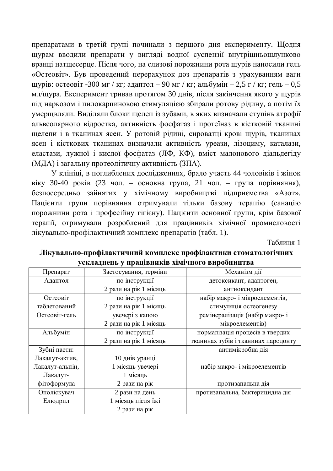препаратами в третій групі починали з першого дня експерименту. Щодня щурам вводили препарати у вигляді водної суспензії внутрішньошлунково вранці натшесерце. Після чого, на слизові порожнини рота шурів наносили гель «Остеовіт». Був проведений перерахунок доз препаратів з урахуванням ваги щурів: остеовіт -300 мг / кг; адаптол – 90 мг / кг; альбумін – 2,5 г / кг; гель – 0,5 мл/щура. Експеримент тривав протягом 30 днів, після закінчення якого у щурів під наркозом і пилокарпиновою стимуляцією збирали ротову рідину, а потім їх vмершвляли. Виліляли блоки шелеп із зубами, в яких визначали ступінь атрофії альвеолярного відростка, активність фосфатаз і протеїназ в кістковій тканині щелепи і в тканинах ясен. У ротовій рідині, сироватці крові щурів, тканинах ясен і кісткових тканинах визначали активність уреази, лізоциму, каталази, еластази, лужної і кислої фосфатаз (ЛФ, КФ), вміст малонового діальдегіду (МЛА) і загальну протеолітичну активність (ЗПА).

У клініці, в поглиблених дослідженнях, брало участь 44 чоловіків і жінок віку 30-40 років (23 чол. – основна група, 21 чол. – група порівняння), безпосередньо зайнятих у хімічному виробництві підприємства «Азот». Пацієнти групи порівняння отримували тільки базову терапію (санацію порожнини рота і професійну гігієну). Пацієнти основної групи, крім базової терапії, отримували розроблений для працівників хімічної промисловості лікувально-профілактичний комплекс препаратів (табл. 1).

Таблиня 1

| ускладисно у праціоників лімі пісі є виросництва |                        |                                     |
|--------------------------------------------------|------------------------|-------------------------------------|
| Препарат                                         | Застосування, терміни  | Механізм дії                        |
| Адаптол                                          | по інструкції          | детоксикант, адаптоген,             |
|                                                  | 2 рази на рік 1 місяць | антиоксидант                        |
| Остеовіт                                         | по інструкції          | набір макро- і мікроелементів,      |
| таблетований                                     | 2 рази на рік 1 місяць | стимуляція остеогенезу              |
| Остеовіт-гель                                    | увечері з капою        | ремінералізація (набір макро- і     |
|                                                  | 2 рази на рік 1 місяць | мікроелементів)                     |
| Альбумін                                         | по інструкції          | нормалізація процесів в твердих     |
|                                                  | 2 рази на рік 1 місяць | тканинах зубів і тканинах пародонту |
| Зубні пасти:                                     |                        | антимікробна дія                    |
| Лакалут-актив,                                   | 10 днів уранці         |                                     |
| Лакалут-альпін,                                  | 1 місяць увечері       | набір макро- і мікроелементів       |
| Лакалут-                                         | 1 місяць               |                                     |
| фітоформула                                      | 2 рази на рік          | протизапальна дія                   |
| Ополіскувач                                      | 2 рази на день         | протизапальна, бактерицидна дія     |
| Елюдрил                                          | 1 місяць після їжі     |                                     |
|                                                  | 2 рази на рік          |                                     |

## Лікувально-профілактичний комплекс профілактики стоматологічних **ɭɫɤɥɚɞɧɟɧɶɭɩɪɚɰɿɜɧɢɤɿɜɯɿɦɿɱɧɨɝɨɜɢɪɨɛɧɢɰɬɜɚ**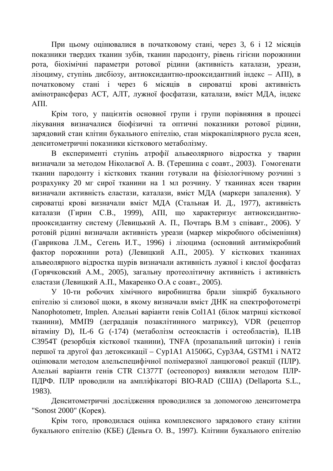При цьому оцінювалися в початковому стані, через 3, 6 і 12 місяців показники твердих тканин зубів, тканин пародонту, рівень гігієни порожнини рота, біохімічні параметри ротової рідини (активність каталази, уреази, лізоциму, ступінь дисбіозу, антиоксидантно-прооксидантний індекс - АПІ), в початковому стані і через 6 місяців в сироватці крові активність амінотрансфераз АСТ, АЛТ, лужної фосфатази, каталази, вміст МДА, індекс AΠI.

Крім того, у пашієнтів основної групи і групи порівняння в процесі лікування визначалися біофізичні та оптичні показники ротової рідини, зарядовий стан клітин букального епітелію, стан мікрокапілярного русла ясен, денситометричні показники кісткового метаболізму.

В експерименті ступінь атрофії альвеолярного відростка у тварин визначали за метолом Ніколаєвої А. В. (Терешина с соавт., 2003). Гомогенати тканин пародонту і кісткових тканин готували на фізіологічному розчині з розрахунку 20 мг сирої тканини на 1 мл розчину. У тканинах ясен тварин визначали активність еластази, каталази, вміст МДА (маркери запалення). У сироватці крові визначали вміст МДА (Стальная И. Д., 1977), активність каталази (Гирин С.В., 1999), АПІ, що характеризує антиоксилантнопрооксидантну систему (Левицький А. П., Почтарь В.М з співавт., 2006). У ротовій рідині визначали активність уреази (маркер мікробного обсіменіння) (Гаврикова Л.М., Сегень И.Т., 1996) і лізоцима (основний антимікробний фактор порожнини рота) (Левицкий А.П., 2005). У кісткових тканинах альвеолярного відростка шурів визначали активність лужної і кислої фосфатаз (Горячковский А.М., 2005), загальну протеолітичну активність і активність еластази (Левицкий А.П., Макаренко О.А с соавт., 2005).

У 10-ти робочих хімічного виробництва брали зішкріб букального епітелію зі слизової щоки, в якому визначали вміст ДНК на спектрофотометрі Nanophotometr, Implen. Алельні варіанти генів Col1A1 (білок матриці кісткової тканини), ММП9 (деградація позаклітинного матриксу), VDR (рецептор вітаміну D), IL-6 G (-174) (метаболізм остеокластів і остеобластів), IL1B СЗ954Т (резорбція кісткової тканини), TNFA (прозапальний цитокін) і генів першої та другої фаз детоксикації – Cyp1A1 A1506G, Cyp3A4, GSTM1 і NAT2 оцінювали методом алельспецифічної полімеразної ланцюгової реакції (ПЛР). Алельні варіанти генів СТR C1377T (остеопороз) виявляли методом ПЛР-ПДРФ. ПЛР проводили на ампліфікаторі BIO-RAD (США) (Dellaporta S.L., 1983).

Денситометричні дослідження проводилися за допомогою денситометра "Sonost 2000" (Корея).

Крім того, проводилася оцінка комплексного зарядового стану клітин букального епітелію (КБЕ) (Деньга О. В., 1997). Клітини букального епітелію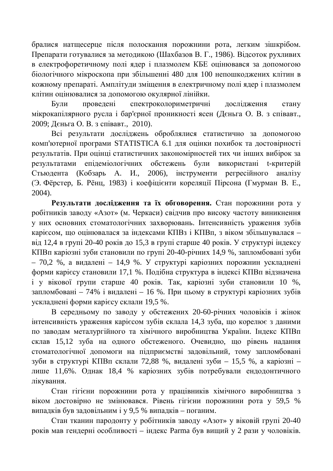бралися натщесерце після полоскання порожнини рота, легким зішкрібом. Препарати готувалися за методикою (Шахбазов В. Г., 1986). Відсоток рухливих в електрофоретичному полі ядер і плазмолем КБЕ оцінювався за допомогою біологічного мікроскопа при збільшенні 480 для 100 непошкоджених клітин в кожному препараті. Амплітуди зміщення в електричному полі ядер і плазмолем клітин оцінювалися за допомогою окулярної лінійки.

Були проведені спектроколориметричні дослідження стану мікрокапілярного русла і бар'єрної проникності ясен (Дєньга О. В. з співавт., 2009; Дєньга О. В. з співавт., 2010).

Всі результати досліджень оброблялися статистично за допомогою комп'ютерної програми STATISTICA 6.1 для оцінки похибок та достовірності результатів. При оцінці статистичних закономірностей тих чи інших вибірок за результатами епідеміологічних обстежень були використані t-критерій Стьюдента (Кобзарь А. И., 2006), інструменти регресійного аналізу  $($ Э. Фёрстер, Б. Рёнц, 1983) і коефіцієнти кореляції Пірсона (Гмурман В. Е., 2004).

Результати дослідження та їх обговорення. Стан порожнини рота у робітників заводу «Азот» (м. Черкаси) свідчив про високу частоту виникнення у них основних стоматологічних захворювань. Інтенсивність ураження зубів карієсом, що оцінювалася за індексами КПВз і КПВп, з віком збільшувалася – від 12,4 в групі 20-40 років до 15,3 в групі старше 40 років. У структурі індексу КПВп каріозні зуби становили по групі 20-40-річних 14,9 %, запломбовані зуби – 70,2 %, а видалені – 14,9 %. У структурі каріозних порожнин ускладнені форми карієсу становили 17,1 %. Подібна структура в індексі КПВп відзначена  $\overline{i}$  у вікової групи старше 40 років. Так, каріозні зуби становили 10 %, запломбовані – 74% і видалені – 16 %. При цьому в структурі каріозних зубів ускладнені форми карієсу склали 19,5 %.

В середньому по заводу у обстежених 20-60-річних чоловіків і жінок інтенсивність ураження карієсом зубів склала 14,3 зуба, що корелює з даними по заводам металургійного та хімічного виробництва України. Індекс КПВп склав 15,12 зуба на одного обстеженого. Очевидно, що рівень надання стоматологічної допомоги на підприємстві задовільний, тому запломбовані зуби в структурі КПВп склали 72,88 %, видалені зуби – 15,5 %, а каріозні – лише 11,6%. Однак 18,4 % каріозних зубів потребували ендодонтичного лікування.

Стан гігієни порожнини рота у працівників хімічного виробництва з віком достовірно не змінювався. Рівень гігієни порожнини рота у 59,5 % випадків був задовільним і у 9,5 % випадків – поганим.

Стан тканин пародонту у робітників заводу «Азот» у віковій групі 20-40 років мав гендерні особливості – індекс Рагта був вищий у 2 рази у чоловіків.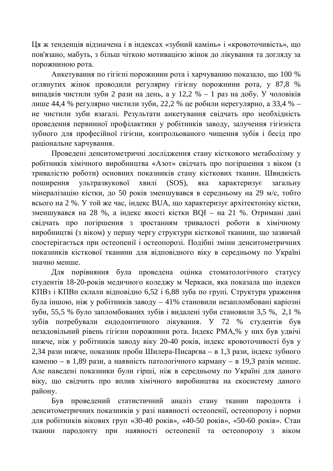Ця ж тенденція відзначена і в індексах «зубний камінь» і «кровоточивість», що пов'язано, мабуть, з більш чіткою мотивацією жінок до лікування та догляду за порожниною рота.

Анкетування по гігієні порожнини рота і харчуванню показало, що 100 % оглянутих жінок проводили регулярну гігієну порожнини рота, у 87,8 % випадків чистили зуби 2 рази на день, а у 12,2 % – 1 раз на добу. У чоловіків лише 44,4 % регулярно чистили зуби, 22,2 % це робили нерегулярно, а 33,4 % – не чистили зуби взагалі. Результати анкетування свідчать про необхідність проведення первинної профілактики у робітників заводу, залучення гігієніста зубного для професійної гігієни, контрольованого чищення зубів і бесід про раціональне харчування.

Проведені денситометричні дослідження стану кісткового метаболізму у робітників хімічного виробництва «Азот» свідчать про погіршення з віком (з тривалістю роботи) основних показників стану кісткових тканин. Швидкість поширення ультразвукової хвилі (SOS), яка характеризує загальну мінералізацію кістки, до 50 років зменшувався в середньому на 29 м/с, тобто всього на 2 %. У той же час, індекс BUA, що характеризує архітектоніку кістки, зменшувався на 28 %, а індекс якості кістки ВОІ – на 21 %. Отримані дані свідчать про погіршення з зростанням тривалості роботи в хімічному виробництві (з віком) у першу чергу структури кісткової тканини, що зазвичай спостерігається при остеопенії і остеопорозі. Подібні зміни денситометричних показників кісткової тканини для відповідного віку в середньому по Україні значно менше

Для порівняння була проведена оцінка стоматологічного статусу студентів 18-20-років медичного коледжу м Черкаси, яка показала що індекси КПВз і КПВп склали відповідно 6,52 і 6,88 зуба по групі. Структура ураження була іншою, ніж у робітників заводу – 41% становили незапломбовані каріозні зуби, 55,5 % було запломбованих зубів і видалені зуби становили 3,5 %, 2,1 % зубів потребували ендодонтичного лікування. У 72 % студентів був незадовільний рівень гігієни порожнини рота. Індекс РМА, % у них був удвічі нижче, ніж у робітників заводу віку 20-40 років, індекс кровоточивості був у 2,34 рази нижче, показник проби Шилера-Писар $\epsilon$ ва – в 1,3 рази, індекс зубного каменю – в 1,89 рази, а наявність патологічного карману – в 19,3 разів менше. Але наведені показники були гірші, ніж в середньому по Україні для даного віку, що свідчить про вплив хімічного виробництва на екосистему даного району.

Був проведений статистичний аналіз стану тканин пародонта і денситометричних показників у разі наявності остеопенії, остеопорозу і норми для робітників вікових груп «30-40 років», «40-50 років», «50-60 років». Стан тканин пародонту при наявності остеопенії та остеопорозу з віком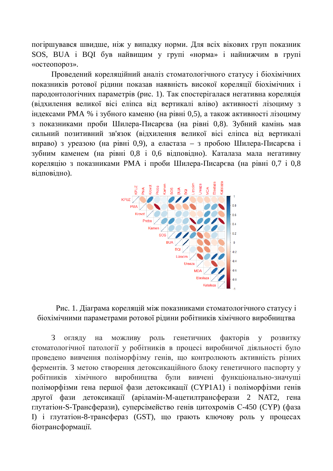погіршувався швидше, ніж у випадку норми. Для всіх вікових груп показник SOS, BUA і BQI був найвищим у групі «норма» і найнижчим в групі «остеопороз».

Проведений кореляційний аналіз стоматологічного статусу і біохімічних показників ротової рідини показав наявність високої кореляції біохімічних і пародонтологічних параметрів (рис. 1). Так спостерігалася негативна кореляція (відхилення великої вісі еліпса від вертикалі вліво) активності лізоциму з  $\overline{H}$ ндексами РМА % і зубного каменю (на рівні 0,5), а також активності лізоциму з показниками проби Шилера-Писарєва (на рівні 0,8). Зубний камінь мав сильний позитивний зв'язок (відхилення великої вісі еліпса від вертикалі вправо) з уреазою (на рівні 0,9), а еластаза – з пробою Шилера-Писарєва і зубним каменем (на рівні 0,8 і 0,6 відповідно). Каталаза мала негативну кореляцію з показниками РМА і проби Шилера-Писарєва (на рівні 0,7 і 0,8 відповідно).



Рис. 1. Діаграма кореляцій між показниками стоматологічного статусу і біохімічними параметрами ротової рідини робітників хімічного виробництва

З огляду на можливу роль генетичних факторів у розвитку стоматологічної патології у робітників в процесі виробничої діяльності було проведено вивчення поліморфізму генів, що контролюють активність різних ферментів. З метою створення детоксикаційного блоку генетичного паспорту у робітників хімічного виробництва були вивчені функціонально-значущі поліморфізми гена першої фази детоксикації (СҮР1А1) і поліморфізми генів другої фази детоксикації (аріламін-М-ацетилтрансферази 2 NAT2, гена глутатіон-S-Трансферази), суперсімейство генів цитохромів С-450 (СҮР) (фаза I) і глутатіон-8-трансфераз (GST), що грають ключову роль у процесах біотрансформації.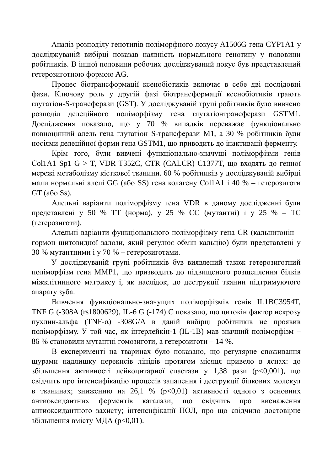Аналіз розподілу генотипів поліморфного локусу А1506G гена СҮР1А1 у досліджуваній вибірці показав наявність нормального генотипу у половини робітників. В іншої половини робочих досліджуваний локус був представлений гетерозиготною формою AG.

Процес біотрансформації ксенобіотиків включає в себе дві послідовні фази. Ключову роль у другій фазі біотрансформації ксенобіотиків грають глутатіон-S-трансферази (GST). У досліджуваній групі робітників було вивчено **розполіл делеційного поліморфізму гена глутатіонтрансферази GSTM1.** Дослідження показало, що у 70 % випадків переважає функціонально повноцінний алель гена глутатіон S-трансферази М1, а 30 % робітників були носіями делеційної форми гена GSTM1, що приводить до інактивації ферменту.

Крім того, були вивчені функціонально-значущі поліморфізми генів  $CollAI$  Sp1 G > T, VDR T352C, CTR (CALCR) C1377T, що входять до генної мережі метаболізму кісткової тканини. 60 % робітників у досліджуваній вибірці мали нормальні алелі GG (або SS) гена колагену Col1A1 і 40 % – гетерозиготи  $GT$  (a<sub>60</sub> S<sub>s</sub>).

Алельні варіанти поліморфізму гена VDR в даному дослідженні були представлені у 50 % ТТ (норма), у 25 % СС (мутантні) і у 25 % – ТС (гетерозиготи).

Алельні варіанти функціонального поліморфізму гена CR (кальцитонін – гормон щитовидної залози, який регулює обмін кальцію) були представлені у 30 % мутантними і у 70 % – гетерозиготами.

У досліджуваній групі робітників був виявлений також гетерозиготний поліморфізм гена ММР1, що призводить до підвищеного розщеплення білків міжклітинного матриксу і, як наслідок, до деструкції тканин підтримуючого апарату зуба.

Вивчення функціонально-значущих поліморфізмів генів Ш1ВС3954Т, TNF G (-308A (rs1800629), IL-6 G (-174) С показало, що цитокін фактор некрозу пухлин-альфа (TNF-α) -308G/A в даній вибірці робітників не проявив поліморфізму. У той час, як інтерлейкін-1 (IL-1B) мав значний поліморфізм – 86 % становили мутантні гомозиготи, а гетерозиготи – 14 %.

В експерименті на тваринах було показано, що регулярне споживання щурами надлишку перекисів ліпідів протягом місяця привело в яснах: до збільшення активності лейкоцитарної еластази у 1,38 рази (р<0,001), що свідчить про інтенсифікацію процесів запалення і деструкції білкових молекул в тканинах; зниженню на 26,1 % ( $p<0,01$ ) активності одного з основних антиоксидантних ферментів каталази, що свідчить про виснаження антиоксидантного захисту; інтенсифікації ПОЛ, про що свідчило достовірне збільшення вмісту МДА (p<0,01).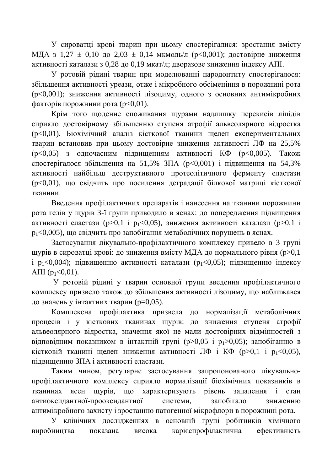У сироватці крові тварин при цьому спостерігалися: зростання вмісту МДА з 1,27  $\pm$  0,10 до 2,03  $\pm$  0,14 мкмоль/л (p<0,001); достовірне зниження активності каталази з 0,28 до 0,19 мкат/л; дворазове зниження індексу АПІ.

У ротовій рідині тварин при моделюванні пародонтиту спостерігалося: збільшення активності уреази, отже і мікробного обсіменіння в порожнині рота (р<0,001); зниження активності лізоциму, одного з основних антимікробних  $\phi$ акторів порожнини рота (р<0,01).

Крім того шоленне споживання шурами наллишку перекисів ліпілів сприяло достовірному збільшенню ступеня атрофії альвеолярного відростка (p<0,01). Біохімічний аналіз кісткової тканини щелеп експериментальних тварин встановив при цьому достовірне зниження активності ЛФ на 25,5%  $(p<0.05)$  з одночасним підвищенням активності КФ ( $p<0.005$ ). Також спостерігалося збільшення на 51,5% ЗПА ( $p<0.001$ ) і підвищення на 54,3% активності найбільш деструктивного протеолітичного ферменту еластази (p<0,01), що свідчить про посилення деградації білкової матриці кісткової тканини.

Введення профілактичних препаратів і нанесення на тканини порожнини рота гелів у щурів 3-ї групи приводило в яснах: до попередження підвищення активності еластази (p>0,1 і p<sub>1</sub><0,05), зниження активності каталази (p>0,1 і  $p_1$ <0,005), що свідчить про запобігання метаболічних порушень в яснах.

Застосування лікувально-профілактичного комплексу привело в 3 групі щурів в сироватці крові: до зниження вмісту МДА до нормального рівня (р>0,1  $\mu_1$   $p_1$ <0,004); підвищенню активності каталази ( $p_1$ <0,05); підвищенню індексу A $\Pi$ I $(p_1 < 0.01)$ .

У ротовій рідині у тварин основної групи введення профілактичного комплексу призвело також до збільшення активності лізоциму, що наближався до значень у інтактних тварин ( $p=0,05$ ).

Комплексна профілактика призвела до нормалізації метаболічних процесів і у кісткових тканинах щурів: до зниження ступеня атрофії альвеолярного відростка, значення якої не мали достовірних відмінностей з відповідним показником в інтактній групі (р>0,05 і р<sub>1</sub>>0,05); запобіганню в кістковій тканині щелеп зниження активності ЛФ і КФ (p>0,1 і p<sub>1</sub><0,05), пілвишенню ЗПА і активності еластази.

Таким чином, регулярне застосування запропонованого лікувальнопрофілактичного комплексу сприяло нормалізації біохімічних показників в тканинах ясен щурів, що характеризують рівень запалення і стан антиоксидантної-прооксидантної системи, запобігало зниженню антимікробного захисту і зростанню патогенної мікрофлори в порожнині рота.

У клінічних дослідженнях в основній групі робітників хімічного виробництва показана висока карієспрофілактична ефективність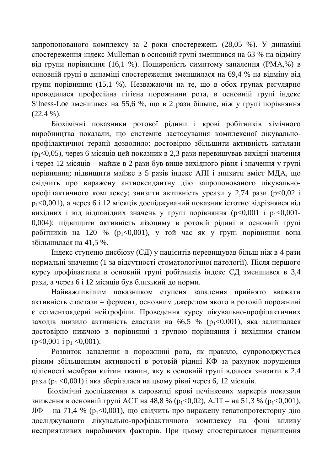запропонованого комплексу за 2 роки спостережень (28,05 %). У динаміці спостереження індекс Mulleman в основній групі зменшився на 63 % на відміну від групи порівняння (16,1 %). Поширеність симптому запалення (РМА,%) в основній групі в динаміці спостереження зменшилася на 69,4 % на відміну від групи порівняння (15,1 %). Незважаючи на те, що в обох групах регулярно проводилася професійна гігієна порожнини рота, в основній групі індекс Silness-Loe зменшився на 55,6 %, що в 2 рази більше, ніж у групі порівняння  $(22,4\%)$ .

Біохімічні показники ротової рідини і крові робітників хімічного виробництва показали, що системне застосування комплексної лікувальнопрофілактичної терапії дозволило: достовірно збільшити активність каталази  $(p_1 < 0.05)$ , через 6 місяців цей показник в 2,3 рази перевищував вихідні значення  $i$  через 12 місяців – майже в 2 рази був више вихілного рівня і значення у групі порівняння; підвищити майже в 5 разів індекс АПІ і знизити вміст МДА, що свідчить про виражену антиоксидантну дію запропонованого лікувальнопрофілактичного комплексу; знизити активність уреази у 2,74 рази (р<0,02 і  $p_1$ <0,001), а через 6 і 12 місяців досліджуваний показник істотно відрізнявся від вихідних і від відповідних значень у групі порівняння  $(p<0,001$  і  $p_1<0,001$ -0,004); підвищити активність лізоциму в ротовій рідині в основній групі робітників на 120 % ( $p_1 < 0.001$ ), у той час як у групі порівняння вона збільшилася на 41,5 %.

Індекс ступеню дисбіозу (СД) у пацієнтів перевищував більш ніж в 4 рази нормальні значення (1 за відсутності стоматологічної патології). Після першого курсу профілактики в основній групі робітників індекс СД зменшився в 3,4 рази, а через 6 і 12 місяців був близький до норми.

Найважливішим показником ступеня запалення прийнято вважати активність еластази – фермент, основним джерелом якого в ротовій порожнині є сегментоядерні нейтрофіли. Проведення курсу лікувально-профілактичних заходів знизило активність еластази на 66,5 % ( $p_1$ <0,001), яка залишалася достовірно нижчою в порівнянні з групою порівняння і вихідним станом  $(p<0,001 \text{ i } p_1 < 0,001).$ 

Розвиток запалення в порожнині рота, як правило, супроводжується різким збільшенням активності в ротовій рідині КФ за рахунок порушення цілісності мембран клітин тканин, яку в основній групі вдалося знизити в 2,4 рази ( $p_1 \leq 0.001$ ) і яка зберігалася на цьому рівні через 6, 12 місяців.

Біохімічні дослідження в сироватці крові печінкових маркерів показали зниження в основній групі АСТ на 48,8 % ( $p_1 < 0.02$ ), АЛТ – на 51,3 % ( $p_1 < 0.001$ ),  $J$ Ф – на 71,4 % ( $p_1$ <0,001), що свідчить про виражену гепатопротекторну дію досліджуваного лікувально-профілактичного комплексу на фоні впливу несприятливих виробничих факторів. При цьому спостерігалося підвищення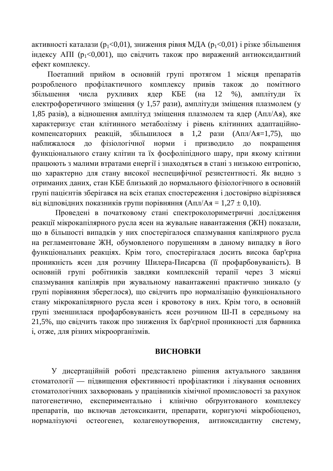активності каталази ( $p_1 < 0.01$ ), зниження рівня МДА ( $p_1 < 0.01$ ) і різке збільшення  $\overline{H}$ ндексу АПІ (р<sub>1</sub><0,001), що свідчить також про виражений антиоксидантний ефект комплексу.

Поетапний прийом в основній групі протягом 1 місяця препаратів розробленого профілактичного комплексу привів також до помітного збільшення числа рухливих ядер КБЕ (на 12 %), амплітуди їх електрофоретичного зміщення (у 1,57 рази), амплітуди зміщення плазмолем (у 1,85 разів), а відношення амплітул змішення плазмолем та ядер (Апл/Ая), яке характеризує стан клітинного метаболізму і рівень клітинних адаптаційнокомпенсаторних реакцій, збільшилося в 1.2 рази (Апл/Ая=1,75), що наближалося до фізіологічної норми і призводило до покращення функціонального стану клітин та їх фосфоліпідного шару, при якому клітини працюють з малими втратами енергії і знаходяться в стані з низькою ентропією. що характерно для стану високої неспецифічної резистентності. Як видно з отриманих даних, стан КБЕ близький до нормального фізіологічного в основній групі пацієнтів зберігався на всіх етапах спостереження і достовірно відрізнявся від відповідних показників групи порівняння  $(A\pi\pi/A\pi = 1,27 \pm 0,10)$ .

Проведені в початковому стані спектроколориметричні дослідження реакції мікрокапілярного русла ясен на жувальне навантаження (ЖН) показали, що в більшості випадків у них спостерігалося спазмування капілярного русла на регламентоване ЖН, обумовленого порушенням в даному випадку в його функціональних реакціях. Крім того, спостерігалася досить висока бар'єрна проникність ясен для розчину Шилера-Писарєва (її профарбовуваність). В основній групі робітників завдяки комплексній терапії через 3 місяці спазмування капілярів при жувальному навантаженні практично зникало (у групі порівняння збереглося), що свідчить про нормалізацію функціонального стану мікрокапілярного русла ясен і кровотоку в них. Крім того, в основній групі зменшилася профарбовуваність ясен розчином Ш-П в середньому на 21,5%, що свідчить також про зниження їх бар'єрної проникності для барвника і, отже, для різних мікроорганізмів.

#### ВИСНОВКИ

У дисертаційній роботі представлено рішення актуального завдання стоматології — підвищення ефективності профілактики і лікування основних стоматологічних захворювань у працівників хімічної промисловості за рахунок патогенетично, експериментально і клінічно обґрунтованого комплексу препаратів, що включав детоксиканти, препарати, коригуючі мікробіоценоз, нормалізуючі остеогенез, колагеноутворення, антиоксидантну систему,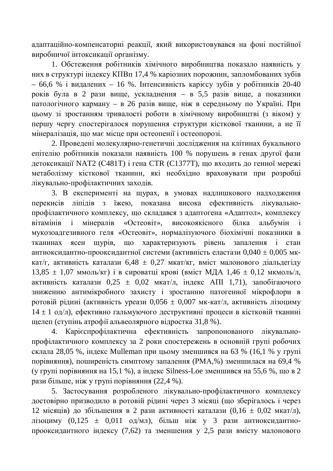адаптаційно-компенсаторні реакції, який використовувався на фоні постійної виробничої інтоксикації організму.

1. Обстеження робітників хімічного виробництва показало наявність у них в структурі індексу КПВп 17,4 % каріозних порожнин, запломбованих зубів – 66,6 % і видалених – 16 %. Інтенсивність карієсу зубів у робітників 20-40 років була в 2 рази вище, ускладнення – в 5,5 разів вище, а показники патологічного карману – в 26 разів вище, ніж в середньому по Україні. При шьому зі зростанням тривалості роботи в хімічному виробництві (з віком) у першу чергу спостерігалося порушення структури кісткової тканини, а не її мінералізація, що має місце при остеопенії і остеопорозі.

2. Проведені молекулярно-генетичні дослідження на клітинах букального епітелію робітників показали наявність 100 % порушень в генах другої фази детоксикації NAT2 (C481T) і гена CTR (C1377T), що входить до генної мережі метаболізму кісткової тканини, які необхідно враховувати при розробці лікувально-профілактичних заходів.

3. В експерименті на щурах, в умовах надлишкового надходження перекисів ліпідів з їжею, показана висока ефективність лікувальнопрофілактичного комплексу, що складався з адаптогена «Адаптол», комплексу вітамінів і мінералів «Остеовіт», високоякісного білка альбумін мукозоадгезивного геля «Остеовіт», нормалізуючого біохімічні показники в тканинах ясен щурів, що характеризують рівень запалення і стан антиоксидантно-прооксидантної системи (активність еластази 0,040  $\pm$  0,005 мккат/г, активність каталази  $6.48 \pm 0.27$  мкат/кг, вміст малонового діальдегіду  $13.85 \pm 1.07$  MMOJIb/KF) i b cupobatui kpobi (bmict M*IIA*  $1.46 \pm 0.12$  MKMOJIb/J, активність каталази  $0.25 \pm 0.02$  мкат/л, індекс АПІ 1,71), запобігаючого зниженню антимікробного захисту і зростанню патогенної мікрофлори в ротовій рідині (активність уреази 0,056  $\pm$  0,007 мк-кат/л, активність лізоциму  $14 \pm 1$  од/л), ефективно гальмуючого деструктивні процеси в кістковій тканині щелеп (ступінь атрофії альвеолярного відростка 31,8 %).

4. Карієспрофілактична ефективність запропонованого лікувальнопрофілактичного комплексу за 2 роки спостережень в основній групі робочих склала 28,05 %, індекс Mulleman при цьому зменшився на 63 % (16,1 % у групі порівняння), поширеність симптому запалення (РМА,%) зменшилася на 69,4 % (у групі порівняння на 15,1 %), а індекс Silness-Loe зменшився на 55,6 %, що в 2 рази більше, ніж у групі порівняння (22,4 %).

5. Застосування розробленого лікувально-профілактичного комплексу достовірно призводило в ротовій рідині через 3 місяці (що зберігалось і через 12 місяців) до збільшення в 2 рази активності каталази (0,16 ± 0,02 мкат/л), лізоциму (0,125 ± 0,011 од/мл), більш ніж у 3 рази антиоксидантнопрооксидантного індексу (7,62) та зменшення у 2,5 рази вмісту малонового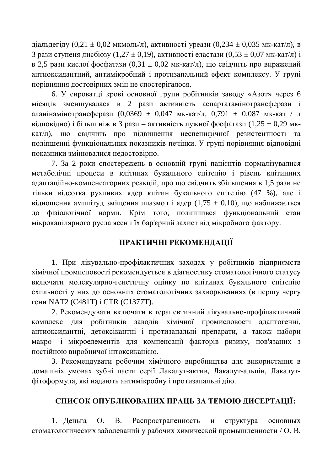діальдегіду (0,21 ± 0,02 мкмоль/л), активності уреази (0,234 ± 0,035 мк-кат/л), в 3 рази ступеня дисбіозу (1,27 ± 0,19), активності еластази (0,53 ± 0,07 мк-кат/л) і в 2,5 рази кислої фосфатази (0,31 ± 0,02 мк-кат/л), що свідчить про виражений антиоксидантний, антимікробний і протизапальний ефект комплексу. У групі порівняння достовірних змін не спостерігалося.

6. У сироватці крові основної групи робітників заводу «Азот» через 6 місяців зменшувалася в 2 рази активність аспартатамінотрансферази і аланінамінотрансферази (0,0369  $\pm$  0,047 мк-кат/л, 0,791  $\pm$  0,087 мк-кат / л відповідно) і більш ніж в 3 рази – активність лужної фосфатази (1,25 ± 0,29 мккат/л), що свідчить про підвищення неспецифічної резистентності та поліпшенні функціональних показників печінки. У групі порівняння відповідні показники змінювалися недостовірно.

7. За 2 роки спостережень в основній групі пацієнтів нормалізувалися метаболічні процеси в клітинах букального епітелію і рівень клітинних адаптаційно-компенсаторних реакцій, про що свідчить збільшення в 1,5 рази не тільки відсотка рухливих ядер клітин букального епітелію (47 %), але і відношення амплітуд зміщення плазмол і ядер (1,75 ± 0,10), що наближається до фізіологічної норми. Крім того, поліпшився функціональний стан мікрокапілярного русла ясен і їх бар'єрний захист від мікробного фактору.

## ПРАКТИЧНІ РЕКОМЕНДАЦІЇ

1. При лікувально-профілактичних заходах у робітників підприємств хімічної промисловості рекомендується в діагностику стоматологічного статусу включати молекулярно-генетичну оцінку по клітинах букального епітелію схильності у них до основних стоматологічних захворюваннях (в першу чергу гени NAT2 (C481T) і CTR (C1377T).

2. Рекомендувати включати в терапевтичний лікувально-профілактичний комплекс для робітників заводів хімічної промисловості адаптогенні, антиоксидантні, детоксікантні і протизапальні препарати, а також набори макро- і мікроелементів для компенсації факторів ризику, пов'язаних з постійною виробничої інтоксикацією.

3. Рекомендувати робочим хімічного виробництва для використання в домашніх умовах зубні пасти серії Лакалут-актив, Лакалут-альпін, Лакалутфітоформула, які надають антимікробну і протизапальні дію.

## СПИСОК ОПУБЛІКОВАНИХ ПРАЦЬ ЗА ТЕМОЮ ДИСЕРТАЦІЇ:

1. Деньга О. В. Распространенность и структура основных стоматологических заболеваний у рабочих химической промышленности / О. В.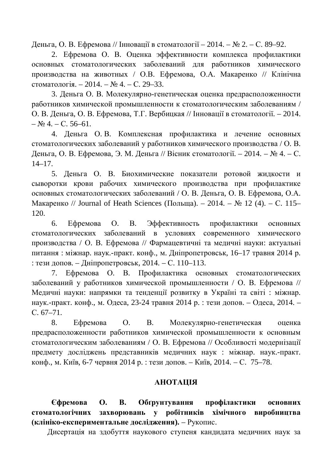Деньга, О. В. Ефремова // Інновації в стоматології − 2014. – № 2. – С. 89–92.

2. Ефремова О. В. Оценка эффективности комплекса профилактики основных стоматологических заболеваний для работников химического производства на животных / О.В. Ефремова, О.А. Макаренко // Клінічна стоматологія. – 2014. – № 4. – С. 29–33.

3. Деньга О. В. Молекулярно-генетическая оценка предрасположенности работников химической промышленности к стоматологическим заболеваниям / О. В. Деньга, О. В. Ефремова, Т.Г. Вербицкая // Інновації в стоматології. – 2014.  $-$  No 4. – C, 56–61.

4. Деньга О.В. Комплексная профилактика и лечение основных стоматологических заболеваний у работников химического производства / О. В. Деньга, О. В. Ефремова, Э. М. Деньга // Вісник стоматології. – 2014. – № 4. – С.  $14-17.$ 

5. Деньга О. В. Биохимические показатели ротовой жидкости и сыворотки крови рабочих химического производства при профилактике основных стоматологических заболеваний / О. В. Деньга, О. В. Ефремова, О.А. Макаренко // Journal of Heath Sciences (Польща). – 2014. – № 12 (4). – С. 115– 120.

6. Ефремова О. В. Эффективность профилактики основных стоматологических заболеваний в условиях современного химического производства / О. В. Ефремова // Фармацевтичні та медичні науки: актуальні питання: міжнар. наук.-практ. конф., м. Дніпропетровськ, 16–17 травня 2014 р. : тези допов. – Дніпропетровськ, 2014. – С. 110–113.

7. Ефремова О. В. Профилактика основных стоматологических заболеваний у работников химической промышленности / О. В. Ефремова // Медичні науки: напрямки та тенденції розвитку в Україні та світі : міжнар. наук.-практ. конф., м. Одеса, 23-24 травня 2014 р. : тези допов. – Одеса, 2014. – C. 67–71.

8. Ефремова О. В. Молекулярно-генетическая оценка предрасположенности работников химической промышленности к основным стоматологическим заболеваниям / О. В. Ефремова // Особливості модернізації предмету досліджень представників медичних наук : міжнар. наук.-практ. конф., м. Київ, 6-7 червня 2014 р. : тези допов. – Київ, 2014. – С. 75–78.

## **RIJIATOHA**

Сфремова О. В. Обґрунтування профілактики основних стоматологічних захворювань у робітників хімічного виробництва **(клініко-експериментальне дослідження).** – Рукопис.

Дисертація на здобуття наукового ступеня кандидата медичних наук за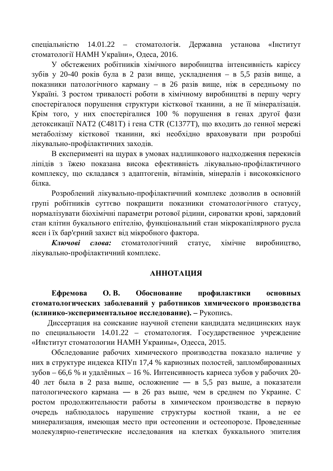спеціальністю 14.01.22 – стоматологія. Державна установа «Інститут стоматології НАМН України», Одеса, 2016.

У обстежених робітників хімічного виробництва інтенсивність карієсу зубів у 20-40 років була в 2 рази вище, ускладнення – в 5,5 разів вище, а показники патологічного карману – в 26 разів вище, ніж в середньому по Україні. З ростом тривалості роботи в хімічному виробництві в першу чергу спостерігалося порушення структури кісткової тканини, а не її мінералізація. Крім того, у них спостерігалися 100 % порушення в генах другої фази детоксикації NAT2 (C481T) і гена CTR (C1377T), що входить до генної мережі метаболізму кісткової тканини, які необхідно враховувати при розробці лікувально-профілактичних заходів.

В експерименті на щурах в умовах надлишкового надходження перекисів ліпідів з їжею показана висока ефективність лікувально-профілактичного комплексу, що складався з адаптогенів, вітамінів, мінералів і високоякісного білка.

Розроблений лікувально-профілактичний комплекс дозволив в основній групі робітників суттєво покращити показники стоматологічного статусу, нормалізувати біохімічні параметри ротової рідини, сироватки крові, зарядовий стан клітин букального епітелію, функціональний стан мікрокапілярного русла ясен і їх бар'єрний захист від мікробного фактора.

Ключові слова: стоматологічний статус, хімічне виробништво, лікувально-профілактичний комплекс.

## **АННОТАЦИЯ**

**Ефремова О.В. Обоснование профилактики основных** стоматологических заболеваний у работников химического производства **(клинико-экспериментальное исследование).** – Рукопись.

Диссертация на соискание научной степени кандидата медицинских наук по специальности 14.01.22 – стоматология. Государственное учреждение «Институт стоматологии НАМН Украины», Одесса, 2015.

Обследование рабочих химического производства показало наличие у них в структуре индекса КПУп 17,4 % кариозных полостей, запломбированных  $3\sqrt{6}$ ов – 66,6 % и удалённых – 16 %. Интенсивность кариеса зубов у рабочих 20-40 лет была в 2 раза выше, осложнение — в 5,5 раз выше, а показатели патологического кармана — в 26 раз выше, чем в среднем по Украине. С ростом продолжительности работы в химическом производстве в первую очередь наблюдалось нарушение структуры костной ткани, а не ее минерализация, имеющая место при остеопении и остеопорозе. Проведенные молекулярно-генетические исследования на клетках буккального эпителия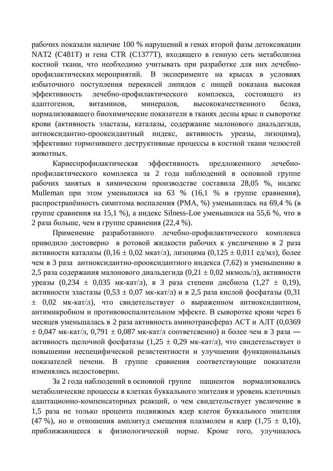рабочих показали наличие 100 % нарушений в генах второй фазы детоксикации NAT2 (С481Т) и гена СТR (С1377Т), входящего в генную сеть метаболизма костной ткани, что необходимо учитывать при разработке для них лечебнопрофилактических мероприятий. В эксперименте на крысах в условиях избыточного поступления перекисей липидов с пищей показана высокая эффективность лечебно-профилактического комплекса, состоящего из адаптогенов, витаминов, минералов, высококачественного белка, нормализовавшего биохимические показатели в тканях десны крыс и сыворотке крови (активность эластазы, каталазы, содержание малонового диальдегида, антиоксидантно-прооксидантный индекс, активность уреазы, лизоцима), эффективно тормозившего деструктивные процессы в костной ткани челюстей ЖИВОТНЫХ.

Кариеспрофилактическая эффективность предложенного лечебнопрофилактического комплекса за 2 года наблюдений в основной группе рабочих занятых в химическом производстве составила 28,05 %, индекс Mulleman при этом уменьшился на 63 % (16,1 % в группе сравнения), распространённость симптома воспаления (РМА, %) уменьшилась на 69,4 % (в группе сравнения на 15,1 %), а индекс Silness-Loe уменьшился на 55,6 %, что в 2 раза больше, чем в группе сравнения (22,4 %).

Применение разработанного лечебно-профилактического комплекса приводило достоверно в ротовой жидкости рабочих к увеличению в 2 раза активности каталазы  $(0,16 \pm 0,02 \text{ M} \text{K} \text{aT} / \text{J})$ , лизоцима  $(0,125 \pm 0,011 \text{ eV} / \text{M})$ , более чем в 3 раза антиоксидантно-прооксидантного индекса (7,62) и уменьшению в 2,5 раза содержания малонового диальдегида (0,21  $\pm$  0,02 мкмоль/л), активности уреазы (0,234  $\pm$  0,035 мк-кат/л), в 3 раза степени дисбиоза (1,27  $\pm$  0,19), активности эластазы  $(0,53 \pm 0,07 \text{ MK-kar/L})$  и в 2,5 раза кислой фосфатазы  $(0,31 \text{ K})$  $±$  0,02 мк-кат/л), что свидетельствует о выраженном антиоксидантном, антимикробном и противовоспалительном эффекте. В сыворотке крови через 6 месяцев уменьшалась в 2 раза активность аминотрансфераз АСТ и АЛТ  $(0.0369)$  $\pm$  0,047 мк-кат/л, 0,791  $\pm$  0,087 мк-кат/л соответсвенно) и более чем в 3 раза активность щелочной фосфатазы  $(1,25 \pm 0.29 \text{ MK-kat/n})$ , что свидетельствует о повышении неспецифической резистентности и улучшении функциональных показателей печени. В группе сравнения соответствующие показатели изменялись недостоверно.

За 2 года наблюдений в основной группе пациентов нормализовались метаболические процессы в клетках буккального эпителия и уровень клеточных адаптационно-компенсаторных реакций, о чем свидетельствует увеличение в 1,5 раза не только процента подвижных ядер клеток буккального эпителия (47 %), но и отношения амплитуд смещения плазмолем и ядер (1,75  $\pm$  0,10), приближающееся к физиологической норме. Кроме того, улучшалось